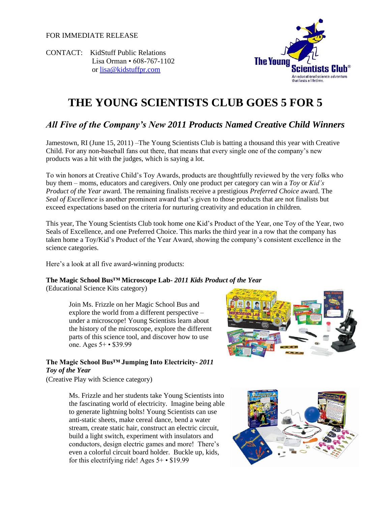FOR IMMEDIATE RELEASE





# **THE YOUNG SCIENTISTS CLUB GOES 5 FOR 5**

# *All Five of the Company's New 2011 Products Named Creative Child Winners*

Jamestown, RI (June 15, 2011) –The Young Scientists Club is batting a thousand this year with Creative Child. For any non-baseball fans out there, that means that every single one of the company's new products was a hit with the judges, which is saying a lot.

To win honors at Creative Child's Toy Awards, products are thoughtfully reviewed by the very folks who buy them – moms, educators and caregivers. Only one product per category can win a *Toy* or *Kid's Product of the Year* award. The remaining finalists receive a prestigious *Preferred Choice* award. The *Seal of Excellence* is another prominent award that's given to those products that are not finalists but exceed expectations based on the criteria for nurturing creativity and education in children.

This year, The Young Scientists Club took home one Kid's Product of the Year, one Toy of the Year, two Seals of Excellence, and one Preferred Choice. This marks the third year in a row that the company has taken home a Toy/Kid's Product of the Year Award, showing the company's consistent excellence in the science categories.

Here's a look at all five award-winning products:

# **The Magic School Bus™ Microscope Lab-** *2011 Kids Product of the Year*

(Educational Science Kits category)

Join Ms. Frizzle on her Magic School Bus and explore the world from a different perspective – under a microscope! Young Scientists learn about the history of the microscope, explore the different parts of this science tool, and discover how to use one. Ages 5+ • \$39.99



# **The Magic School Bus™ Jumping Into Electricity-** *2011 Toy of the Year*

(Creative Play with Science category)

Ms. Frizzle and her students take Young Scientists into the fascinating world of electricity. Imagine being able to generate lightning bolts! Young Scientists can use anti-static sheets, make cereal dance, bend a water stream, create static hair, construct an electric circuit, build a light switch, experiment with insulators and conductors, design electric games and more! There's even a colorful circuit board holder. Buckle up, kids, for this electrifying ride! Ages 5+ • \$19.99